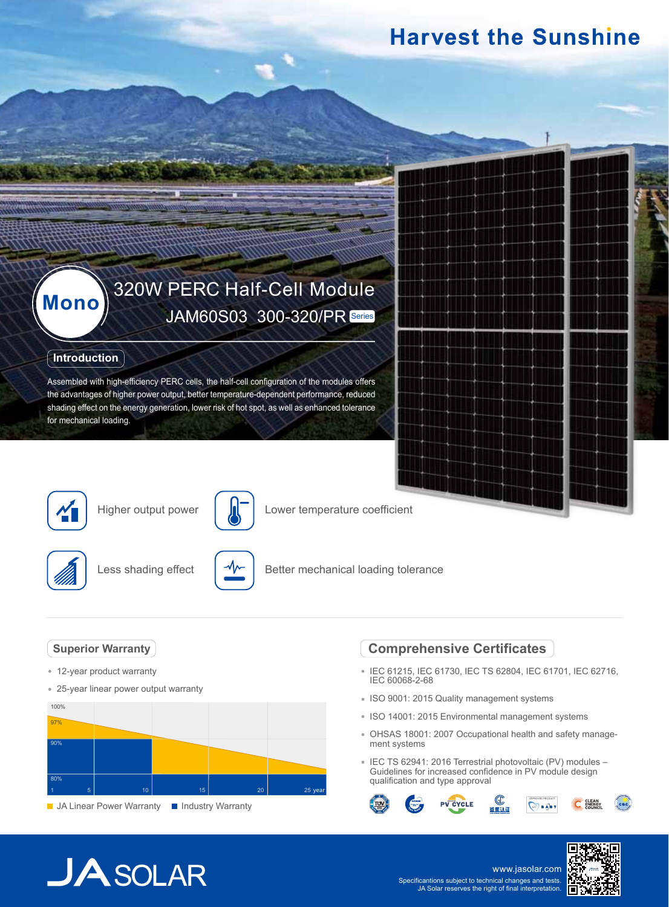## **Harvest the Sunshine**

# **Mono** 320W PERC Half-Cell Module

#### **Introduction**

Assembled with high-efficiency PERC cells, the half-cell configuration of the modules offers the advantages of higher power output, better temperature-dependent performance, reduced shading effect on the energy generation, lower risk of hot spot, as well as enhanced tolerance for mechanical loading.



Higher output power



Lower temperature coefficient



Less shading effect



Better mechanical loading tolerance

#### **Superior Warranty**

- 12-year product warranty
- 25-year linear power output warranty



**JA Linear Power Warranty III Industry Warranty** 

### **Comprehensive Certificates**

- IEC 61215, IEC 61730, IEC TS 62804, IEC 61701, IEC 62716, IEC 60068-2-68
- ISO 9001: 2015 Quality management systems
- ISO 14001: 2015 Environmental management systems
- OHSAS 18001: 2007 Occupational health and safety management systems
- IEC TS 62941: 2016 Terrestrial photovoltaic (PV) modules Guidelines for increased confidence in PV module design qualification and type approval



## $JASOLAR$

www.jasolar.com Specificantions subject to technical changes and tests. JA Solar reserves the right of final interpretation.